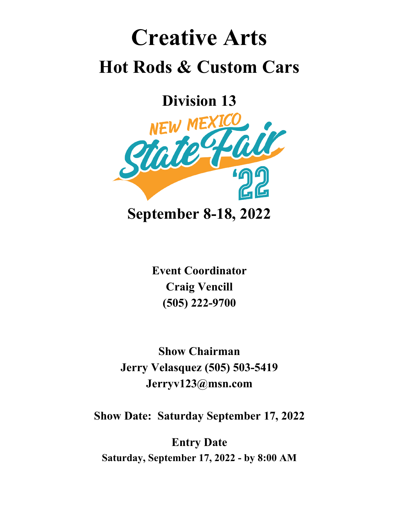## **Creative Arts Hot Rods & Custom Cars**

**Division 13**



**Event Coordinator Craig Vencill (505) 222-9700**

**Show Chairman Jerry Velasquez (505) 503-5419 Jerryv123@msn.com**

**Show Date: Saturday September 17, 2022**

**Entry Date Saturday, September 17, 2022 - by 8:00 AM**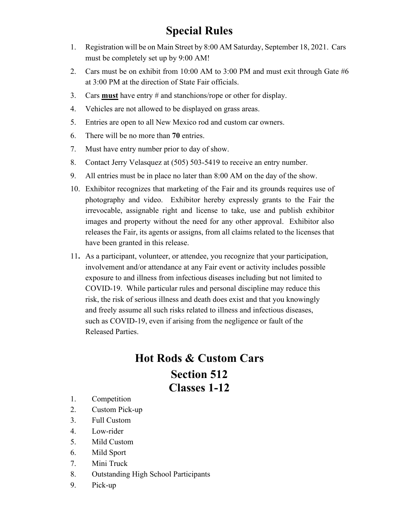## **Special Rules**

- 1. Registration will be on Main Street by 8:00 AM Saturday, September 18, 2021. Cars must be completely set up by 9:00 AM!
- 2. Cars must be on exhibit from 10:00 AM to 3:00 PM and must exit through Gate #6 at 3:00 PM at the direction of State Fair officials.
- 3. Cars **must** have entry # and stanchions/rope or other for display.
- 4. Vehicles are not allowed to be displayed on grass areas.
- 5. Entries are open to all New Mexico rod and custom car owners.
- 6. There will be no more than **70** entries.
- 7. Must have entry number prior to day of show.
- 8. Contact Jerry Velasquez at (505) 503-5419 to receive an entry number.
- 9. All entries must be in place no later than 8:00 AM on the day of the show.
- 10. Exhibitor recognizes that marketing of the Fair and its grounds requires use of photography and video. Exhibitor hereby expressly grants to the Fair the irrevocable, assignable right and license to take, use and publish exhibitor images and property without the need for any other approval. Exhibitor also releases the Fair, its agents or assigns, from all claims related to the licenses that have been granted in this release.
- 11**.** As a participant, volunteer, or attendee, you recognize that your participation, involvement and/or attendance at any Fair event or activity includes possible exposure to and illness from infectious diseases including but not limited to COVID-19. While particular rules and personal discipline may reduce this risk, the risk of serious illness and death does exist and that you knowingly and freely assume all such risks related to illness and infectious diseases, such as COVID-19, even if arising from the negligence or fault of the Released Parties.

## **Hot Rods & Custom Cars Section 512 Classes 1-12**

- 1. Competition
- 2. Custom Pick-up
- 3. Full Custom
- 4. Low-rider
- 5. Mild Custom
- 6. Mild Sport
- 7. Mini Truck
- 8. Outstanding High School Participants
- 9. Pick-up